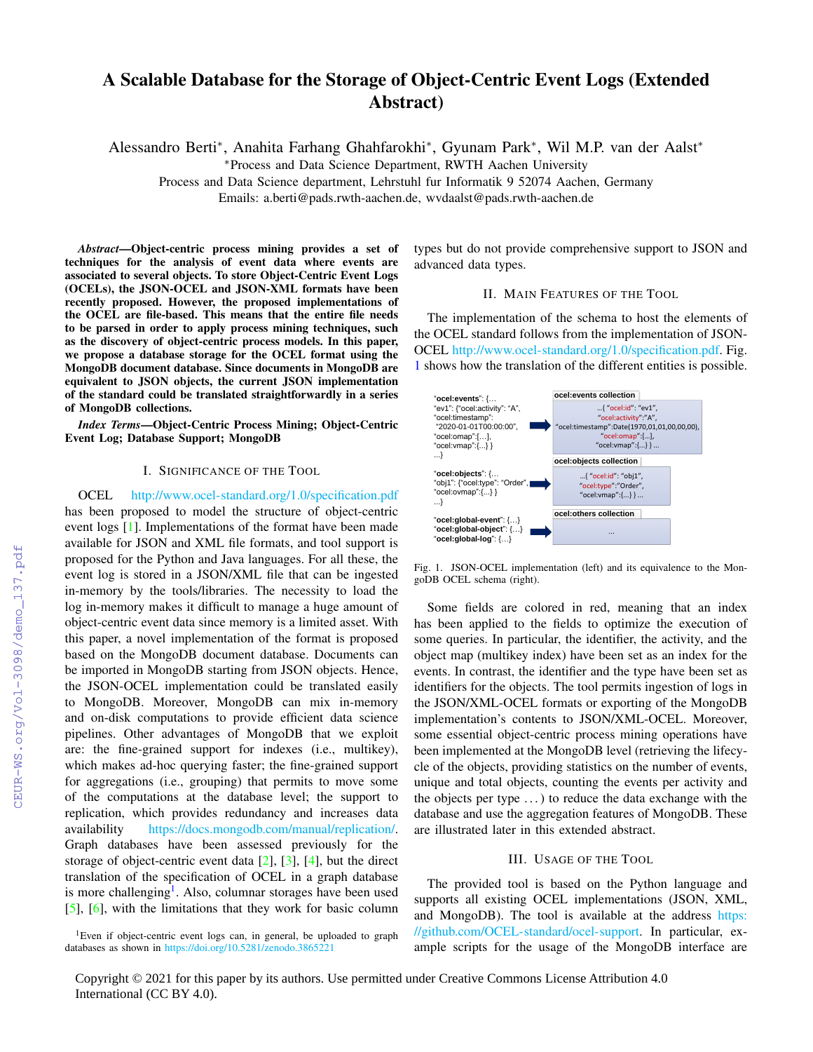# A Scalable Database for the Storage of Object-Centric Event Logs (Extended Abstract)

Alessandro Berti<sup>∗</sup> , Anahita Farhang Ghahfarokhi<sup>∗</sup> , Gyunam Park<sup>∗</sup> , Wil M.P. van der Aalst<sup>∗</sup>

<sup>∗</sup>Process and Data Science Department, RWTH Aachen University

Process and Data Science department, Lehrstuhl fur Informatik 9 52074 Aachen, Germany

Emails: a.berti@pads.rwth-aachen.de, wvdaalst@pads.rwth-aachen.de

*Abstract*—Object-centric process mining provides a set of techniques for the analysis of event data where events are associated to several objects. To store Object-Centric Event Logs (OCELs), the JSON-OCEL and JSON-XML formats have been recently proposed. However, the proposed implementations of the OCEL are file-based. This means that the entire file needs to be parsed in order to apply process mining techniques, such as the discovery of object-centric process models. In this paper, we propose a database storage for the OCEL format using the MongoDB document database. Since documents in MongoDB are equivalent to JSON objects, the current JSON implementation of the standard could be translated straightforwardly in a series of MongoDB collections.

*Index Terms*—Object-Centric Process Mining; Object-Centric Event Log; Database Support; MongoDB

## I. SIGNIFICANCE OF THE TOOL

OCEL <http://www.ocel-standard.org/1.0/specification.pdf> has been proposed to model the structure of object-centric event logs [\[1\]](#page--1-0). Implementations of the format have been made available for JSON and XML file formats, and tool support is proposed for the Python and Java languages. For all these, the event log is stored in a JSON/XML file that can be ingested in-memory by the tools/libraries. The necessity to load the log in-memory makes it difficult to manage a huge amount of object-centric event data since memory is a limited asset. With this paper, a novel implementation of the format is proposed based on the MongoDB document database. Documents can be imported in MongoDB starting from JSON objects. Hence, the JSON-OCEL implementation could be translated easily to MongoDB. Moreover, MongoDB can mix in-memory and on-disk computations to provide efficient data science pipelines. Other advantages of MongoDB that we exploit are: the fine-grained support for indexes (i.e., multikey), which makes ad-hoc querying faster; the fine-grained support for aggregations (i.e., grouping) that permits to move some of the computations at the database level; the support to replication, which provides redundancy and increases data availability [https://docs.mongodb.com/manual/replication/.](https://docs.mongodb.com/manual/replication/) Graph databases have been assessed previously for the storage of object-centric event data  $[2]$ ,  $[3]$ ,  $[4]$ , but the direct translation of the specification of OCEL in a graph database is more challenging<sup>[1](#page-0-0)</sup>. Also, columnar storages have been used [\[5\]](#page--1-4), [\[6\]](#page--1-5), with the limitations that they work for basic column

types but do not provide comprehensive support to JSON and advanced data types.

## II. MAIN FEATURES OF THE TOOL

The implementation of the schema to host the elements of the OCEL standard follows from the implementation of JSON-OCEL [http://www.ocel-standard.org/1.0/specification.pdf.](http://www.ocel-standard.org/1.0/specification.pdf) Fig. [1](#page-0-1) shows how the translation of the different entities is possible.



<span id="page-0-1"></span>Fig. 1. JSON-OCEL implementation (left) and its equivalence to the MongoDB OCEL schema (right).

Some fields are colored in red, meaning that an index has been applied to the fields to optimize the execution of some queries. In particular, the identifier, the activity, and the object map (multikey index) have been set as an index for the events. In contrast, the identifier and the type have been set as identifiers for the objects. The tool permits ingestion of logs in the JSON/XML-OCEL formats or exporting of the MongoDB implementation's contents to JSON/XML-OCEL. Moreover, some essential object-centric process mining operations have been implemented at the MongoDB level (retrieving the lifecycle of the objects, providing statistics on the number of events, unique and total objects, counting the events per activity and the objects per type  $\dots$ ) to reduce the data exchange with the database and use the aggregation features of MongoDB. These are illustrated later in this extended abstract.

# III. USAGE OF THE TOOL

The provided tool is based on the Python language and supports all existing OCEL implementations (JSON, XML, and MongoDB). The tool is available at the address [https:](https://github.com/OCEL-standard/ocel-support) [//github.com/OCEL-standard/ocel-support.](https://github.com/OCEL-standard/ocel-support) In particular, example scripts for the usage of the MongoDB interface are

<span id="page-0-0"></span><sup>&</sup>lt;sup>1</sup>Even if object-centric event logs can, in general, be uploaded to graph databases as shown in <https://doi.org/10.5281/zenodo.3865221>